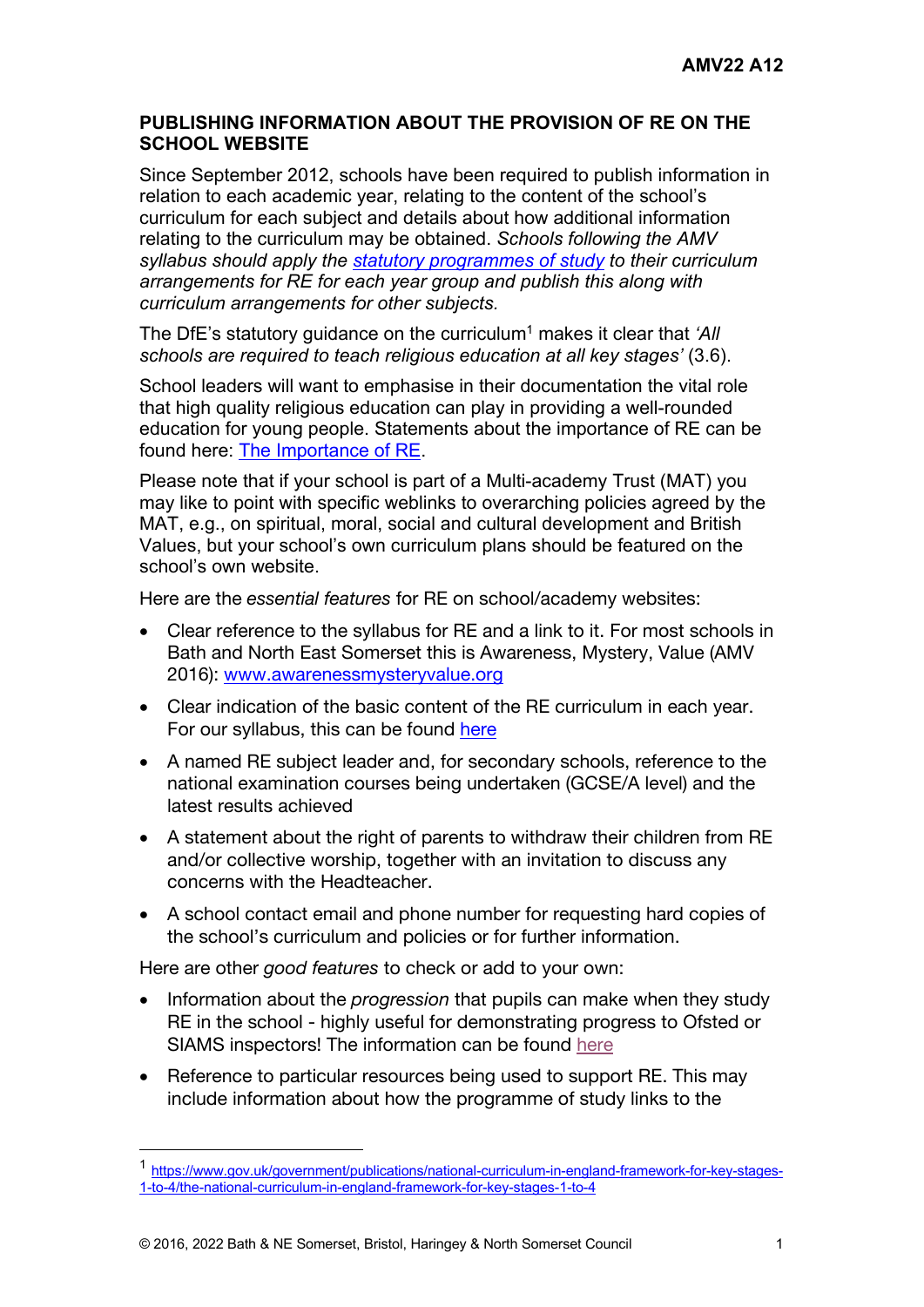## **PUBLISHING INFORMATION ABOUT THE PROVISION OF RE ON THE SCHOOL WEBSITE**

Since September 2012, schools have been required to publish information in relation to each academic year, relating to the content of the school's curriculum for each subject and details about how additional information relating to the curriculum may be obtained. *Schools following the AMV syllabus should apply the statutory programmes of study to their curriculum arrangements for RE for each year group and publish this along with curriculum arrangements for other subjects.*

The DfE's statutory quidance on the curriculum<sup>1</sup> makes it clear that *'All schools are required to teach religious education at all key stages'* (3.6).

School leaders will want to emphasise in their documentation the vital role that high quality religious education can play in providing a well-rounded education for young people. Statements about the importance of RE can be found here: The Importance of RE.

Please note that if your school is part of a Multi-academy Trust (MAT) you may like to point with specific weblinks to overarching policies agreed by the MAT, e.g., on spiritual, moral, social and cultural development and British Values, but your school's own curriculum plans should be featured on the school's own website.

Here are the *essential features* for RE on school/academy websites:

- Clear reference to the syllabus for RE and a link to it. For most schools in Bath and North East Somerset this is Awareness, Mystery, Value (AMV 2016): www.awarenessmysteryvalue.org
- Clear indication of the basic content of the RE curriculum in each year. For our syllabus, this can be found here
- A named RE subject leader and, for secondary schools, reference to the national examination courses being undertaken (GCSE/A level) and the latest results achieved
- A statement about the right of parents to withdraw their children from RE and/or collective worship, together with an invitation to discuss any concerns with the Headteacher.
- A school contact email and phone number for requesting hard copies of the school's curriculum and policies or for further information.

Here are other *good features* to check or add to your own:

- Information about the *progression* that pupils can make when they study RE in the school - highly useful for demonstrating progress to Ofsted or SIAMS inspectors! The information can be found here
- Reference to particular resources being used to support RE. This may include information about how the programme of study links to the

<sup>1</sup> https://www.gov.uk/government/publications/national-curriculum-in-england-framework-for-key-stages-1-to-4/the-national-curriculum-in-england-framework-for-key-stages-1-to-4